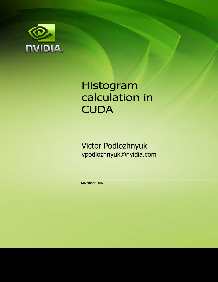

# Histogram calculation in **CUDA**

Victor Podlozhnyuk vpodlozhnyuk@nvidia.com

November 2007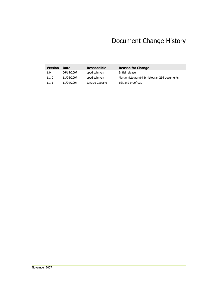#### Document Change History

| <b>Version</b> | Date       | <b>Responsible</b> | <b>Reason for Change</b>                   |
|----------------|------------|--------------------|--------------------------------------------|
| 1.0            | 06/15/2007 | vpodlozhnyuk       | Initial release                            |
| 1.1.0          | 11/06/2007 | vpodlozhnyuk       | Merge histogram64 & histogram256 documents |
| 1.1.1          | 11/09/2007 | Ignacio Castano    | Edit and proofread                         |
|                |            |                    |                                            |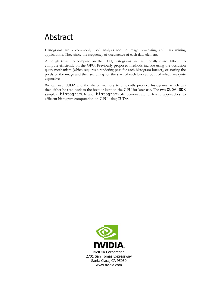### Abstract

Histograms are a commonly used analysis tool in image processing and data mining applications. They show the frequency of occurrence of each data element.

Although trivial to compute on the CPU, histograms are traditionally quite difficult to compute efficiently on the GPU. Previously proposed methods include using the occlusion query mechanism (which requires a rendering pass for each histogram bucket), or sorting the pixels of the image and then searching for the start of each bucket, both of which are quite expensive.

We can use CUDA and the shared memory to efficiently produce histograms, which can then either be read back to the host or kept on the GPU for later use. The two CUDA SDK samples: histogram64 and histogram256 demonstrate different approaches to efficient histogram computation on GPU using CUDA.

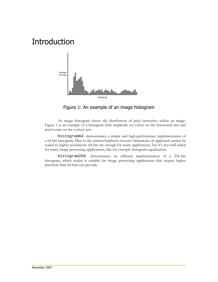# Introduction



Figure 1: An example of an image histogram

An image histogram shows the distribution of pixel intensities within an image. Figure 1 is an example of a histogram with amplitude (or color) on the horizontal axis and pixel count on the vertical axis.

Histogram64 demonstrates a simple and high-performance implementation of a 64-bin histogram. Due to the current hardware resource limitations, its approach cannot be scaled to higher resolutions. 64-bin are enough for many applications, but it's not well suited for many image processing applications, like for example histogram equalization.

Histogram256 demonstrates an efficient implementation of a 256-bin histogram, which makes it suitable for image processing applications that require higher precision than 64 bins can provide.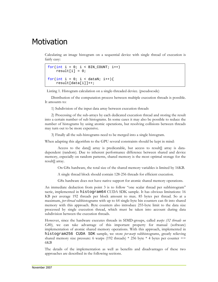#### **Motivation**

Calculating an image histogram on a sequential device with single thread of execution is fairly easy:

```
for(int i = 0; i < BIN_CCOUNT; i++)result[i] = 0;for(int i = 0; i < dataN; i++){
     result[data[i]]++;
```
Listing 1. Histogram calculation on a single-threaded device. (pseudocode)

Distribution of the computation process between multiple execution threads is possible. It amounts to:

1) Subdivision of the input data array between execution threads

2) Processing of the sub-arrays by each dedicated execution thread and storing the result into a certain number of sub histograms. In some cases it may also be possible to reduce the number of histograms by using atomic operations, but resolving collisions between threads may turn out to be more expensive.

3) Finally all the sub-histograms need to be merged into a single histogram.

When adapting this algorithm to the GPU several constraints should be kept in mind:

Access to the data. array is predicatable, but access to result. array is datadependent (random). Due to inherent performance difference between shared and device memory, especially on random patterns, shared memory is the most optimal storage for the result[] array.

On G8x hardware, the total size of the shared memory variables is limited by 16KB.

A single thread block should contain 128-256 threads for efficient execution.

G8x hardware does not have native support for atomic shared memory operations.

An immediate deduction from point 3 is to follow "one scalar thread per subhistogram" tactic, implemented in histogram64 CUDA SDK sample. It has obvious limitations: 16 KB per average 192 threads per block amount to max. 85 bytes per thread. So at a maximum, *per-thread* subhistograms with up to 64 single-byte bin counters can fit into shared memory with this approach. Byte counters also introduce 255-byte limit to the data size processed by single execution thread, which must be taken into account during data subdivision between the execution threads.

However, since the hardware executes threads in SIMD-groups, called *warps (32 threads on G80)*, we can take advantage of this important property for manual (software) implementation of atomic shared memory operations. With this approach, implemented in histogram256 CUDA SDK sample, we store *per-warp* subhistograms, greatly relieving shared memory size pressure: 6 warps (192 threads)  $*$  256 byte  $*$  4 bytes per counter  $==$ 6KB

The details of the implementation as well as benefits and disadvantages of these two approaches are described in the following sections.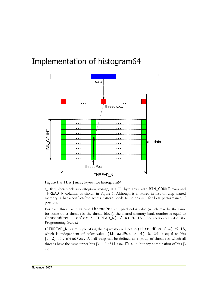# Implementation of histogram64



**Figure 1. s\_Hist[] array layout for histogram64.** 

s\_Hist[] (per-block subhistogram storage) is a 2D byte array with BIN\_COUNT rows and THREAD\_N columns as shown in Figure 1. Although it is stored in fast on-chip shared memory, a bank-conflict-free access pattern needs to be ensured for best performance, if possible.

For each thread with its own threadPos and pixel color value (which may be the same for some other threads in the thread block), the shared memory bank number is equal to (threadPos + color \* THREAD\_N) / 4) % 16. (See section 5.1.2.4 of the Programming Guide.)

If THREAD\_N is a multiple of 64, the expression reduces to (threadPos / 4)  $\text{\$}$  16, which is independent of color value. (threadPos  $/$  4)  $\frac{1}{6}$  16 is equal to bits [5 : 2] of threadPos. A half-warp can be defined as a group of threads in which all threads have the same upper bits  $[31 : 4]$  of threadIdx.x, but any combination of bits  $[3]$ : 0].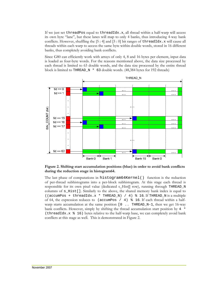If we just set threadPos equal to threadIdx.x, all thread within a half-warp will access its own byte "lane", but these lanes will map to only 4 banks, thus introducing 4-way bank conflicts. However, shuffling the  $[5:4]$  and  $[3:0]$  bit ranges of threadIdx. x will cause all threads within each warp to access the same byte within double words, stored in 16 different banks, thus completely avoiding bank conflicts.

Since G80 can efficiently work with arrays of only 4, 8 and 16 bytes per element, input data is loaded as four-byte words. For the reasons mentioned above, the data size processed by each thread is limited to 63 double words, and the data size processed by the entire thread block is limited to THREAD\_N \* 63 double words. (48,384 bytes for 192 threads)



**Figure 2. Shifting start accumulation positions (blue) in order to avoid bank conflicts during the reduction stage in histogram64.** 

The last phase of computations in histogram64Kernel() function is the reduction of per-thread subhistograms into a per-block subhistogram. At this stage each thread is responsible for its own pixel value (dedicated s\_Hist[] row), running through THREAD\_N columns of s\_Hist[]. Similarly to the above, the shared memory bank index is equal to ((accumPos + threadIdx.x \* THREAD\_N) / 4) % 16. If THREAD\_N is a multiple of 64, the expression reduces to (accumPos / 4) % 16. If each thread within a halfwarp starts accumulation at the same position  $[0 \dots$  THREAD N-1, then we get 16-way bank conflicts. However, simply by shifting the thread accumulation start position by  $4 *$ (threadIdx.x % 16) bytes relative to the half-warp base, we can completely avoid bank conflicts at this stage as well. This is demonstrated in Figure 2.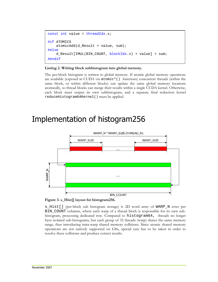```
const int value = threadIdx.x;
#if ATOMICS 
     atomicAdd(d_Result + value, sum); 
#else 
     d_Result[IMUL(BIN_COUNT, blockIdx.x) + value] = sum; 
#endif
```
#### **Listing 2. Writing block subhistogram into global memory.**

The per-block histogram is written to global memory. If atomic global memory operations are available (exposed in CUDA via atomic\*() functions) concurrent threads (within the same block, or within different blocks) can update the same global memory locations atomically, so thread blocks can merge their results within a single CUDA kernel. Otherwise, each block must output its own subhistogram, and a separate final reduction kernel reduceHistogram64Kernel() must be applied.

### Implementation of histogram256



**Figure 3. s\_Hist[] layout for histogram256.**

s\_Hist[] (per-block sub histogram storage) is 2D word array of WARP\_N rows per BIN\_COUNT columns, where each warp of a thread block is responsible for its own subhistogram, processing dedicated row. Compared to histogram64, threads no longer have isolated sub-histograms, but each group of 32 threads (warp) shares the same memory range, thus introducing intra-warp shared memory collisions. Since atomic shared memory operations are not natively supported on G8x, special care has to be taken in order to resolve these collisions and produce correct results.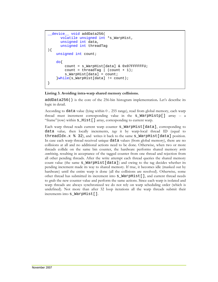```
__device__ void addData256( 
      volatile unsigned int *s WarpHist,
      unsigned int data, 
      unsigned int threadTag 
){ 
     unsigned int count; 
     do{ 
         count = s_WarpHist[data] & 0x07FFFFFFU; 
        count = threadTag | (count + 1);
        s WarpHist[data] = count;
     }while(s_WarpHist[data] != count); 
}
```
#### **Listing 3. Avoiding intra-warp shared memory collisions.**

addData256() is the core of the 256-bin histogram implementation**.** Let's describe its logic in detail.

According to data value (lying within 0 .. 255 range), read from global memory, each warp thread must increment corresponding value in the s\_WarpHistp[] array -- a "frame"(row) within s\_Hist[] array, corresponding to current warp.

Each warp thread reads current warp counter s WarpHist[data], corresponding to data value*,* then locally increments, *tags* it by warp-local thread ID (equal to threadIdx. $x \& 32$ ), and writes it back to the same s WarpHist[data] position. In case each warp thread received unique data values (from global memory), there are no collisions at all and no additional actions need to be done. Otherwise, when two or more threads collide on the same bin counter, the hardware performs shared memory *write combining,* resulting in acceptance of the tagged counter from one thread and rejection from all other pending threads. After the write attempt each thread queries the shared memory count value (the same s\_WarpHist[data]) and owing to the tag decides whether its pending increment made its way to shared memory. If true, it becomes idle (masked out by hardware) until the entire warp is done (all the collisions are resolved). Otherwise, some other thread has submitted its increment into s\_WarpHist[], and current thread needs to grab the new counter value and perform the same actions. Since each warp is isolated and warp threads are always synchronized we do not rely on warp scheduling order (which is undefined). Not more than after 32 loop iterations all the warp threads submit their increments into s\_WarpHist[]*.*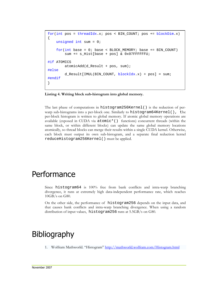```
for(int pos = threadIdx.x; pos < BIN_COUNT; pos += blockDim.x)
{ 
     unsigned int sum = 0; 
    for(int base = 0; base < BLOCK MEMORY; base += BIN COUNT) sum += s_Hist[base + pos] & 0x07FFFFFFU; 
#if ATOMICS 
         atomicAdd(d_Result + pos, sum); 
#else 
         d_Result[IMUL(BIN_COUNT, blockIdx.x) + pos] = sum; 
#endif 
}
```
**Listing 4. Writing block sub-histogram into global memory.** 

The last phase of computations in histogram256Kernel() is the reduction of perwarp sub-histograms into a per-block one. Similarly to histogram64Kernel(), the per-block histogram is written to global memory. If atomic global memory operations are available (exposed in CUDA via  $atomic^*($ ) functions) concurrent threads (within the same block, or within different blocks) can update the same global memory locations atomically, so thread blocks can merge their results within a single CUDA kernel. Otherwise, each block must output its own sub-histogram, and a separate final reduction kernel reduceHistogram256Kernel() must be applied.

#### **Performance**

Since histogram64 is 100% free from bank conflicts and intra-warp branching divergence, it runs at extremely high data-independent performance rate, which reaches 10GB/s on G80.

On the other side, the performance of histogram256 depends on the input data, and that causes bank conflicts and intra-warp branching divergence. When using a random distribution of input values, histogram256 runs at 5.5GB/s on G80.

### **Bibliography**

1. Wolfram Mathworld. "Histogram" http://mathworld.wolfram.com/Histogram.html